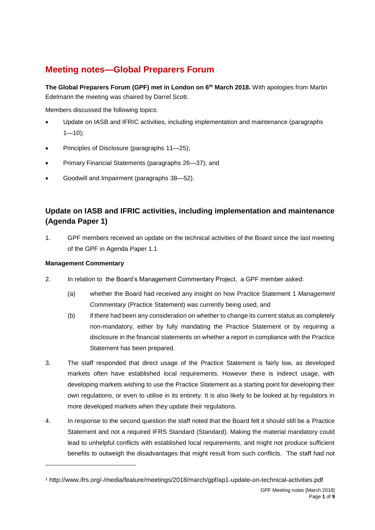# **Meeting notes—Global Preparers Forum**

**The Global Preparers Forum (GPF) met in London on 6th March 2018.** With apologies from Martin Edelmann the meeting was chaired by Darrel Scott.

Members discussed the following topics:

- Update on IASB and IFRIC activities, including implementation and maintenance (paragraphs  $1 - 10$ );
- Principles of Disclosure (paragraphs [11—](#page-2-1)[25\)](#page-4-0);
- Primary Financial Statements (paragraphs [26—](#page-4-1)[37\)](#page-6-0); and
- Goodwill and Impairment (paragraphs [38—](#page-6-1)[52\)](#page-8-0).

## **Update on IASB and IFRIC activities, including implementation and maintenance (Agenda Paper 1)**

<span id="page-0-0"></span>1. GPF members received an update on the technical activities of the Board since the last meeting of the GPF in Agenda Paper 1.1

#### **Management Commentary**

-

- 2. In relation to the Board's Management Commentary Project, a GPF member asked:
	- (a) whether the Board had received any insight on how Practice Statement 1 *Management Commentary* (Practice Statement) was currently being used, and
	- (b) if there had been any consideration on whether to change its current status as completely non-mandatory, either by fully mandating the Practice Statement or by requiring a disclosure in the financial statements on whether a report in compliance with the Practice Statement has been prepared.
- 3. The staff responded that direct usage of the Practice Statement is fairly low, as developed markets often have established local requirements. However there is indirect usage, with developing markets wishing to use the Practice Statement as a starting point for developing their own regulations, or even to utilise in its entirety. It is also likely to be looked at by regulators in more developed markets when they update their regulations.
- 4. In response to the second question the staff noted that the Board felt it should still be a Practice Statement and not a required IFRS Standard (Standard). Making the material mandatory could lead to unhelpful conflicts with established local requirements, and might not produce sufficient benefits to outweigh the disadvantages that might result from such conflicts. The staff had not

<sup>1</sup> http://www.ifrs.org/-/media/feature/meetings/2018/march/gpf/ap1-update-on-technical-activities.pdf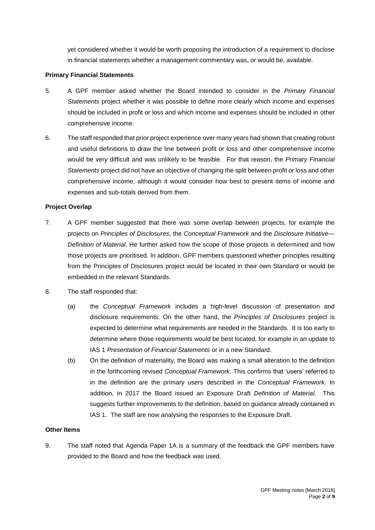yet considered whether it would be worth proposing the introduction of a requirement to disclose in financial statements whether a management commentary was, or would be, available.

#### **Primary Financial Statements**

- 5. A GPF member asked whether the Board intended to consider in the *Primary Financial Statements* project whether it was possible to define more clearly which income and expenses should be included in profit or loss and which income and expenses should be included in other comprehensive income.
- 6. The staff responded that prior project experience over many years had shown that creating robust and useful definitions to draw the line between profit or loss and other comprehensive income would be very difficult and was unlikely to be feasible. For that reason, the *Primary Financial Statements* project did not have an objective of changing the split between profit or loss and other comprehensive income, although it would consider how best to present items of income and expenses and sub-totals derived from them.

#### **Project Overlap**

- 7. A GPF member suggested that there was some overlap between projects, for example the projects on *Principles of Disclosures*, the *Conceptual Framework* and the *Disclosure Initiative— Definition of Material*. He further asked how the scope of those projects is determined and how those projects are prioritised. In addition, GPF members questioned whether principles resulting from the Principles of Disclosures project would be located in their own Standard or would be embedded in the relevant Standards.
- 8. The staff responded that:
	- (a) the *Conceptual Framework* includes a high-level discussion of presentation and disclosure requirements. On the other hand, the *Principles of Disclosures* project is expected to determine what requirements are needed in the Standards. It is too early to determine where those requirements would be best located, for example in an update to IAS 1 *Presentation of Financial Statements* or in a new Standard.
	- (b) On the definition of materiality, the Board was making a small alteration to the definition in the forthcoming revised *Conceptual Framework*. This confirms that 'users' referred to in the definition are the primary users described in the *Conceptual Framework*. In addition, in 2017 the Board issued an Exposure Draft *Definition of Material*. This suggests further improvements to the definition, based on guidance already contained in IAS 1. The staff are now analysing the responses to the Exposure Draft.

#### **Other Items**

9. The staff noted that Agenda Paper 1A is a summary of the feedback the GPF members have provided to the Board and how the feedback was used.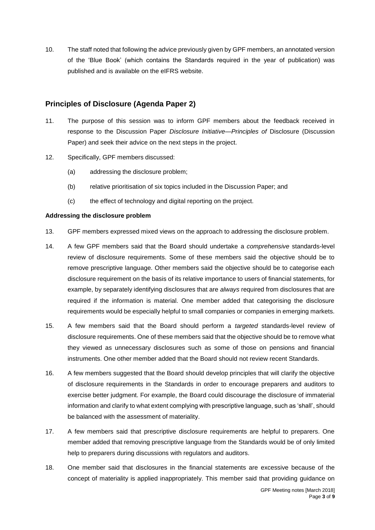<span id="page-2-0"></span>10. The staff noted that following the advice previously given by GPF members, an annotated version of the 'Blue Book' (which contains the Standards required in the year of publication) was published and is available on the eIFRS website.

## **Principles of Disclosure (Agenda Paper 2)**

- <span id="page-2-1"></span>11. The purpose of this session was to inform GPF members about the feedback received in response to the Discussion Paper *Disclosure Initiative—Principles of* Disclosure (Discussion Paper) and seek their advice on the next steps in the project.
- 12. Specifically, GPF members discussed:
	- (a) addressing the disclosure problem;
	- (b) relative prioritisation of six topics included in the Discussion Paper; and
	- (c) the effect of technology and digital reporting on the project.

#### **Addressing the disclosure problem**

- 13. GPF members expressed mixed views on the approach to addressing the disclosure problem.
- 14. A few GPF members said that the Board should undertake a *comprehensive* standards-level review of disclosure requirements. Some of these members said the objective should be to remove prescriptive language. Other members said the objective should be to categorise each disclosure requirement on the basis of its relative importance to users of financial statements, for example, by separately identifying disclosures that are *always* required from disclosures that are required if the information is material. One member added that categorising the disclosure requirements would be especially helpful to small companies or companies in emerging markets.
- 15. A few members said that the Board should perform a *targeted* standards-level review of disclosure requirements. One of these members said that the objective should be to remove what they viewed as unnecessary disclosures such as some of those on pensions and financial instruments. One other member added that the Board should not review recent Standards.
- 16. A few members suggested that the Board should develop principles that will clarify the objective of disclosure requirements in the Standards in order to encourage preparers and auditors to exercise better judgment. For example, the Board could discourage the disclosure of immaterial information and clarify to what extent complying with prescriptive language, such as 'shall', should be balanced with the assessment of materiality.
- 17. A few members said that prescriptive disclosure requirements are helpful to preparers. One member added that removing prescriptive language from the Standards would be of only limited help to preparers during discussions with regulators and auditors.
- 18. One member said that disclosures in the financial statements are excessive because of the concept of materiality is applied inappropriately. This member said that providing guidance on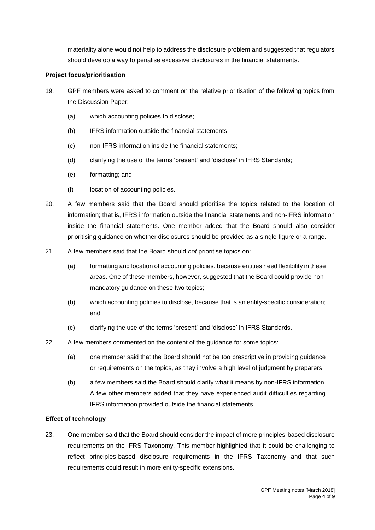materiality alone would not help to address the disclosure problem and suggested that regulators should develop a way to penalise excessive disclosures in the financial statements.

#### **Project focus/prioritisation**

- 19. GPF members were asked to comment on the relative prioritisation of the following topics from the Discussion Paper:
	- (a) which accounting policies to disclose;
	- (b) IFRS information outside the financial statements;
	- (c) non-IFRS information inside the financial statements;
	- (d) clarifying the use of the terms 'present' and 'disclose' in IFRS Standards;
	- (e) formatting; and
	- (f) location of accounting policies.
- 20. A few members said that the Board should prioritise the topics related to the location of information; that is, IFRS information outside the financial statements and non-IFRS information inside the financial statements. One member added that the Board should also consider prioritising guidance on whether disclosures should be provided as a single figure or a range.
- 21. A few members said that the Board should *not* prioritise topics on:
	- (a) formatting and location of accounting policies, because entities need flexibility in these areas. One of these members, however, suggested that the Board could provide nonmandatory guidance on these two topics;
	- (b) which accounting policies to disclose, because that is an entity-specific consideration; and
	- (c) clarifying the use of the terms 'present' and 'disclose' in IFRS Standards.
- 22. A few members commented on the content of the guidance for some topics:
	- (a) one member said that the Board should not be too prescriptive in providing guidance or requirements on the topics, as they involve a high level of judgment by preparers.
	- (b) a few members said the Board should clarify what it means by non-IFRS information. A few other members added that they have experienced audit difficulties regarding IFRS information provided outside the financial statements.

#### **Effect of technology**

23. One member said that the Board should consider the impact of more principles-based disclosure requirements on the IFRS Taxonomy. This member highlighted that it could be challenging to reflect principles-based disclosure requirements in the IFRS Taxonomy and that such requirements could result in more entity-specific extensions.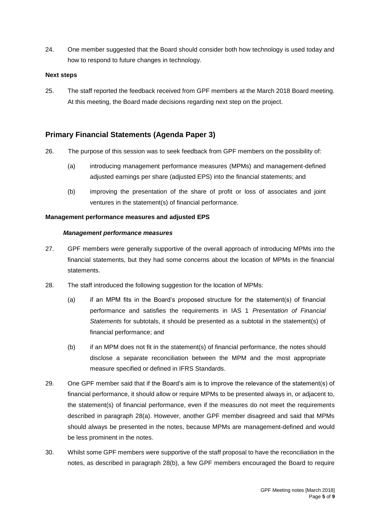24. One member suggested that the Board should consider both how technology is used today and how to respond to future changes in technology.

#### **Next steps**

<span id="page-4-0"></span>25. The staff reported the feedback received from GPF members at the March 2018 Board meeting. At this meeting, the Board made decisions regarding next step on the project.

## **Primary Financial Statements (Agenda Paper 3)**

- <span id="page-4-1"></span>26. The purpose of this session was to seek feedback from GPF members on the possibility of:
	- (a) introducing management performance measures (MPMs) and management-defined adjusted earnings per share (adjusted EPS) into the financial statements; and
	- (b) improving the presentation of the share of profit or loss of associates and joint ventures in the statement(s) of financial performance.

#### **Management performance measures and adjusted EPS**

#### *Management performance measures*

- 27. GPF members were generally supportive of the overall approach of introducing MPMs into the financial statements, but they had some concerns about the location of MPMs in the financial statements.
- <span id="page-4-2"></span>28. The staff introduced the following suggestion for the location of MPMs:
	- (a) if an MPM fits in the Board's proposed structure for the statement(s) of financial performance and satisfies the requirements in IAS 1 *Presentation of Financial Statements* for subtotals, it should be presented as a subtotal in the statement(s) of financial performance; and
	- (b) if an MPM does not fit in the statement(s) of financial performance, the notes should disclose a separate reconciliation between the MPM and the most appropriate measure specified or defined in IFRS Standards.
- 29. One GPF member said that if the Board's aim is to improve the relevance of the statement(s) of financial performance, it should allow or require MPMs to be presented always in, or adjacent to, the statement(s) of financial performance, even if the measures do not meet the requirements described in paragraph [28\(](#page-4-2)a). However, another GPF member disagreed and said that MPMs should always be presented in the notes, because MPMs are management-defined and would be less prominent in the notes.
- 30. Whilst some GPF members were supportive of the staff proposal to have the reconciliation in the notes, as described in paragraph 28(b), a few GPF members encouraged the Board to require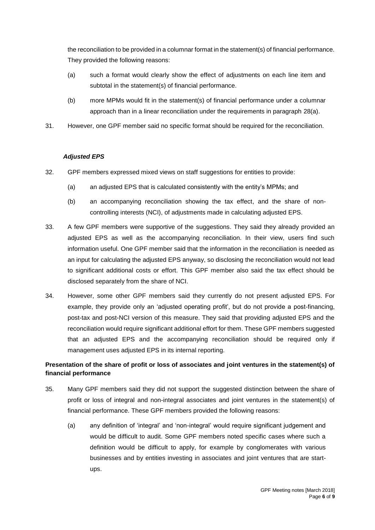the reconciliation to be provided in a columnar format in the statement(s) of financial performance. They provided the following reasons:

- (a) such a format would clearly show the effect of adjustments on each line item and subtotal in the statement(s) of financial performance.
- (b) more MPMs would fit in the statement(s) of financial performance under a columnar approach than in a linear reconciliation under the requirements in paragraph [28\(](#page-4-2)a).
- 31. However, one GPF member said no specific format should be required for the reconciliation.

#### *Adjusted EPS*

- 32. GPF members expressed mixed views on staff suggestions for entities to provide:
	- (a) an adjusted EPS that is calculated consistently with the entity's MPMs; and
	- (b) an accompanying reconciliation showing the tax effect, and the share of noncontrolling interests (NCI), of adjustments made in calculating adjusted EPS.
- 33. A few GPF members were supportive of the suggestions. They said they already provided an adjusted EPS as well as the accompanying reconciliation. In their view, users find such information useful. One GPF member said that the information in the reconciliation is needed as an input for calculating the adjusted EPS anyway, so disclosing the reconciliation would not lead to significant additional costs or effort. This GPF member also said the tax effect should be disclosed separately from the share of NCI.
- 34. However, some other GPF members said they currently do not present adjusted EPS. For example, they provide only an 'adjusted operating profit', but do not provide a post-financing, post-tax and post-NCI version of this measure. They said that providing adjusted EPS and the reconciliation would require significant additional effort for them. These GPF members suggested that an adjusted EPS and the accompanying reconciliation should be required only if management uses adjusted EPS in its internal reporting.

## **Presentation of the share of profit or loss of associates and joint ventures in the statement(s) of financial performance**

- 35. Many GPF members said they did not support the suggested distinction between the share of profit or loss of integral and non-integral associates and joint ventures in the statement(s) of financial performance. These GPF members provided the following reasons:
	- (a) any definition of 'integral' and 'non-integral' would require significant judgement and would be difficult to audit. Some GPF members noted specific cases where such a definition would be difficult to apply, for example by conglomerates with various businesses and by entities investing in associates and joint ventures that are startups.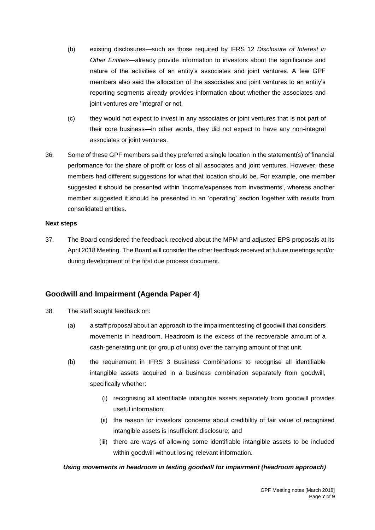- (b) existing disclosures—such as those required by IFRS 12 *Disclosure of Interest in Other Entities*—already provide information to investors about the significance and nature of the activities of an entity's associates and joint ventures. A few GPF members also said the allocation of the associates and joint ventures to an entity's reporting segments already provides information about whether the associates and joint ventures are 'integral' or not.
- (c) they would not expect to invest in any associates or joint ventures that is not part of their core business—in other words, they did not expect to have any non-integral associates or joint ventures.
- 36. Some of these GPF members said they preferred a single location in the statement(s) of financial performance for the share of profit or loss of all associates and joint ventures. However, these members had different suggestions for what that location should be. For example, one member suggested it should be presented within 'income/expenses from investments', whereas another member suggested it should be presented in an 'operating' section together with results from consolidated entities.

#### **Next steps**

<span id="page-6-0"></span>37. The Board considered the feedback received about the MPM and adjusted EPS proposals at its April 2018 Meeting. The Board will consider the other feedback received at future meetings and/or during development of the first due process document.

## **Goodwill and Impairment (Agenda Paper 4)**

- <span id="page-6-1"></span>38. The staff sought feedback on:
	- (a) a staff proposal about an approach to the impairment testing of goodwill that considers movements in headroom. Headroom is the excess of the recoverable amount of a cash-generating unit (or group of units) over the carrying amount of that unit.
	- (b) the requirement in IFRS 3 Business Combinations to recognise all identifiable intangible assets acquired in a business combination separately from goodwill, specifically whether:
		- (i) recognising all identifiable intangible assets separately from goodwill provides useful information;
		- (ii) the reason for investors' concerns about credibility of fair value of recognised intangible assets is insufficient disclosure; and
		- (iii) there are ways of allowing some identifiable intangible assets to be included within goodwill without losing relevant information.

#### *Using movements in headroom in testing goodwill for impairment (headroom approach)*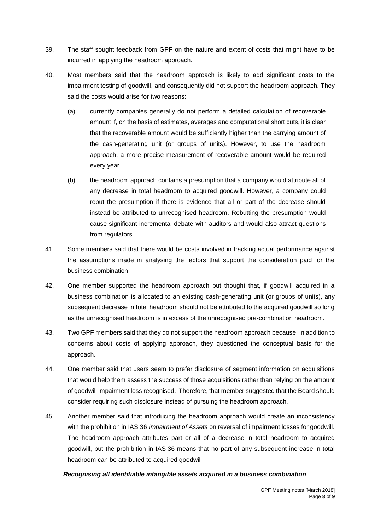- 39. The staff sought feedback from GPF on the nature and extent of costs that might have to be incurred in applying the headroom approach.
- 40. Most members said that the headroom approach is likely to add significant costs to the impairment testing of goodwill, and consequently did not support the headroom approach. They said the costs would arise for two reasons:
	- (a) currently companies generally do not perform a detailed calculation of recoverable amount if, on the basis of estimates, averages and computational short cuts, it is clear that the recoverable amount would be sufficiently higher than the carrying amount of the cash-generating unit (or groups of units). However, to use the headroom approach, a more precise measurement of recoverable amount would be required every year.
	- (b) the headroom approach contains a presumption that a company would attribute all of any decrease in total headroom to acquired goodwill. However, a company could rebut the presumption if there is evidence that all or part of the decrease should instead be attributed to unrecognised headroom. Rebutting the presumption would cause significant incremental debate with auditors and would also attract questions from regulators.
- 41. Some members said that there would be costs involved in tracking actual performance against the assumptions made in analysing the factors that support the consideration paid for the business combination.
- 42. One member supported the headroom approach but thought that, if goodwill acquired in a business combination is allocated to an existing cash-generating unit (or groups of units), any subsequent decrease in total headroom should not be attributed to the acquired goodwill so long as the unrecognised headroom is in excess of the unrecognised pre-combination headroom.
- 43. Two GPF members said that they do not support the headroom approach because, in addition to concerns about costs of applying approach, they questioned the conceptual basis for the approach.
- 44. One member said that users seem to prefer disclosure of segment information on acquisitions that would help them assess the success of those acquisitions rather than relying on the amount of goodwill impairment loss recognised. Therefore, that member suggested that the Board should consider requiring such disclosure instead of pursuing the headroom approach.
- 45. Another member said that introducing the headroom approach would create an inconsistency with the prohibition in IAS 36 *Impairment of Assets* on reversal of impairment losses for goodwill. The headroom approach attributes part or all of a decrease in total headroom to acquired goodwill, but the prohibition in IAS 36 means that no part of any subsequent increase in total headroom can be attributed to acquired goodwill.

#### *Recognising all identifiable intangible assets acquired in a business combination*